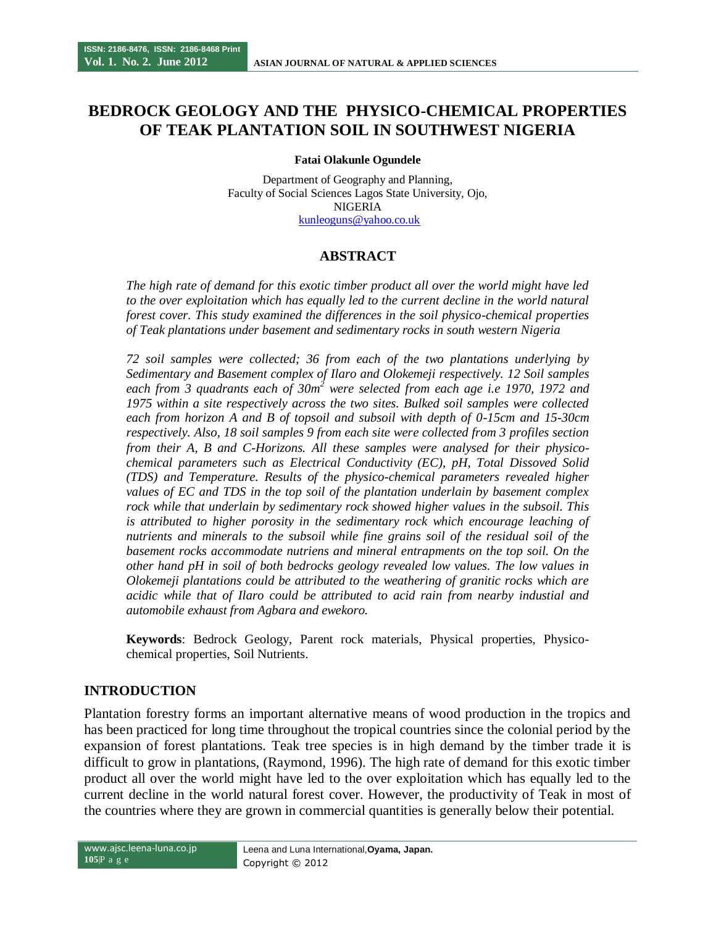# **BEDROCK GEOLOGY AND THE PHYSICO-CHEMICAL PROPERTIES OF TEAK PLANTATION SOIL IN SOUTHWEST NIGERIA**

**Fatai Olakunle Ogundele**

Department of Geography and Planning, Faculty of Social Sciences Lagos State University, Ojo, NIGERIA [kunleoguns@yahoo.co.uk](mailto:kunleoguns@yahoo.co.uk)

# **ABSTRACT**

*The high rate of demand for this exotic timber product all over the world might have led to the over exploitation which has equally led to the current decline in the world natural forest cover. This study examined the differences in the soil physico-chemical properties of Teak plantations under basement and sedimentary rocks in south western Nigeria*

*72 soil samples were collected; 36 from each of the two plantations underlying by Sedimentary and Basement complex of Ilaro and Olokemeji respectively. 12 Soil samples each from 3 quadrants each of 30m<sup>2</sup> were selected from each age i.e 1970, 1972 and 1975 within a site respectively across the two sites. Bulked soil samples were collected each from horizon A and B of topsoil and subsoil with depth of 0-15cm and 15-30cm respectively. Also, 18 soil samples 9 from each site were collected from 3 profiles section from their A, B and C-Horizons. All these samples were analysed for their physicochemical parameters such as Electrical Conductivity (EC), pH, Total Dissoved Solid (TDS) and Temperature. Results of the physico-chemical parameters revealed higher values of EC and TDS in the top soil of the plantation underlain by basement complex rock while that underlain by sedimentary rock showed higher values in the subsoil. This*  is attributed to higher porosity in the sedimentary rock which encourage leaching of *nutrients and minerals to the subsoil while fine grains soil of the residual soil of the*  basement rocks accommodate nutriens and mineral entrapments on the top soil. On the *other hand pH in soil of both bedrocks geology revealed low values. The low values in Olokemeji plantations could be attributed to the weathering of granitic rocks which are acidic while that of Ilaro could be attributed to acid rain from nearby industial and automobile exhaust from Agbara and ewekoro.* 

**Keywords**: Bedrock Geology, Parent rock materials, Physical properties, Physicochemical properties, Soil Nutrients.

# **INTRODUCTION**

Plantation forestry forms an important alternative means of wood production in the tropics and has been practiced for long time throughout the tropical countries since the colonial period by the expansion of forest plantations. Teak tree species is in high demand by the timber trade it is difficult to grow in plantations, (Raymond, 1996). The high rate of demand for this exotic timber product all over the world might have led to the over exploitation which has equally led to the current decline in the world natural forest cover. However, the productivity of Teak in most of the countries where they are grown in commercial quantities is generally below their potential.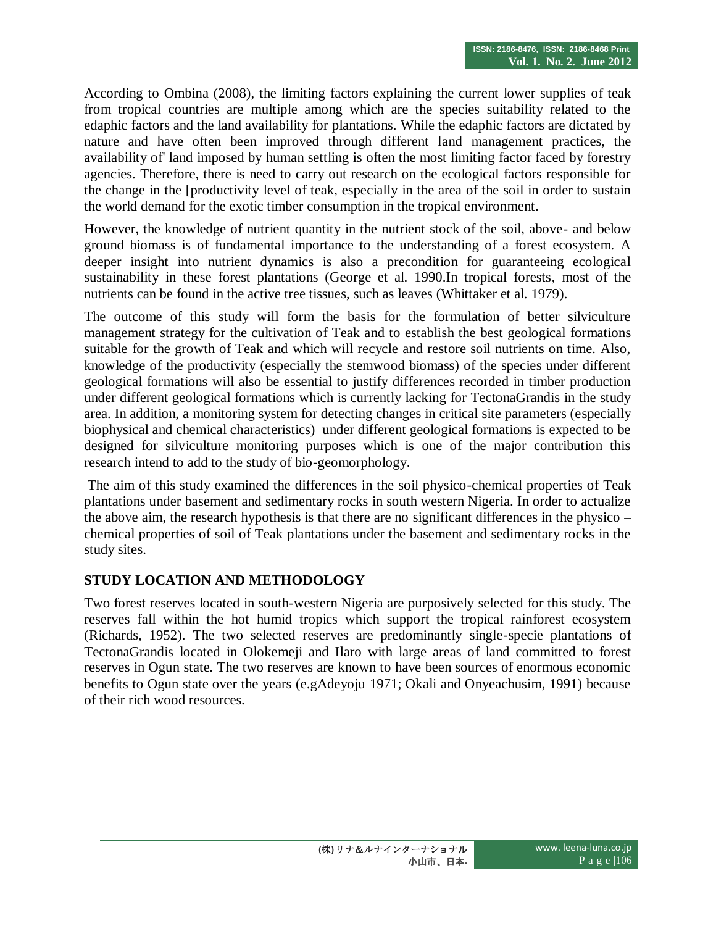According to Ombina (2008), the limiting factors explaining the current lower supplies of teak from tropical countries are multiple among which are the species suitability related to the edaphic factors and the land availability for plantations. While the edaphic factors are dictated by nature and have often been improved through different land management practices, the availability of' land imposed by human settling is often the most limiting factor faced by forestry agencies. Therefore, there is need to carry out research on the ecological factors responsible for the change in the [productivity level of teak, especially in the area of the soil in order to sustain the world demand for the exotic timber consumption in the tropical environment.

However, the knowledge of nutrient quantity in the nutrient stock of the soil, above- and below ground biomass is of fundamental importance to the understanding of a forest ecosystem. A deeper insight into nutrient dynamics is also a precondition for guaranteeing ecological sustainability in these forest plantations (George et al. 1990.In tropical forests, most of the nutrients can be found in the active tree tissues, such as leaves (Whittaker et al. 1979).

The outcome of this study will form the basis for the formulation of better silviculture management strategy for the cultivation of Teak and to establish the best geological formations suitable for the growth of Teak and which will recycle and restore soil nutrients on time. Also, knowledge of the productivity (especially the stemwood biomass) of the species under different geological formations will also be essential to justify differences recorded in timber production under different geological formations which is currently lacking for TectonaGrandis in the study area. In addition, a monitoring system for detecting changes in critical site parameters (especially biophysical and chemical characteristics) under different geological formations is expected to be designed for silviculture monitoring purposes which is one of the major contribution this research intend to add to the study of bio-geomorphology.

The aim of this study examined the differences in the soil physico-chemical properties of Teak plantations under basement and sedimentary rocks in south western Nigeria. In order to actualize the above aim, the research hypothesis is that there are no significant differences in the physico – chemical properties of soil of Teak plantations under the basement and sedimentary rocks in the study sites.

# **STUDY LOCATION AND METHODOLOGY**

Two forest reserves located in south-western Nigeria are purposively selected for this study. The reserves fall within the hot humid tropics which support the tropical rainforest ecosystem (Richards, 1952). The two selected reserves are predominantly single-specie plantations of TectonaGrandis located in Olokemeji and Ilaro with large areas of land committed to forest reserves in Ogun state. The two reserves are known to have been sources of enormous economic benefits to Ogun state over the years (e.gAdeyoju 1971; Okali and Onyeachusim, 1991) because of their rich wood resources.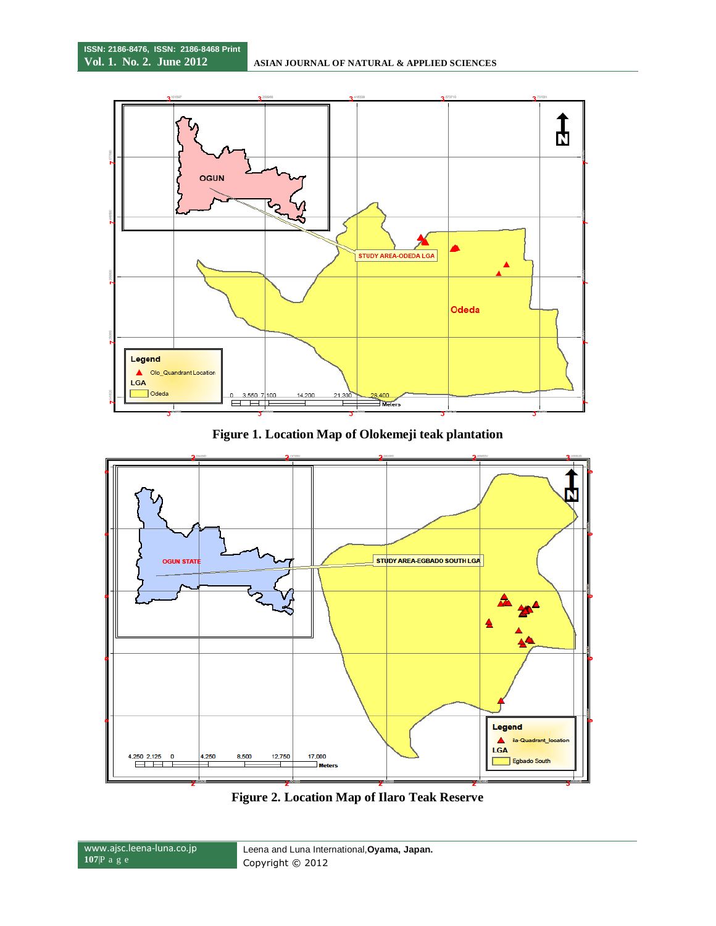

**Figure 1. Location Map of Olokemeji teak plantation**



**Figure 2. Location Map of Ilaro Teak Reserve**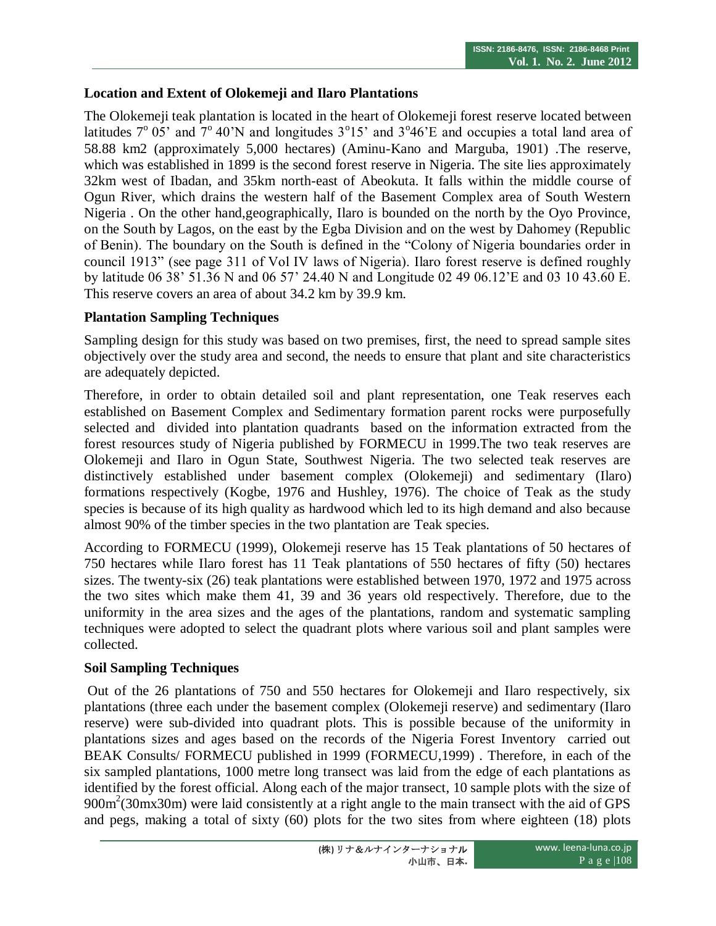### **Location and Extent of Olokemeji and Ilaro Plantations**

The Olokemeji teak plantation is located in the heart of Olokemeji forest reserve located between latitudes  $7^{\circ}$  05' and  $7^{\circ}$  40'N and longitudes  $3^{\circ}15'$  and  $3^{\circ}46'$ E and occupies a total land area of 58.88 km2 (approximately 5,000 hectares) (Aminu-Kano and Marguba, 1901) .The reserve, which was established in 1899 is the second forest reserve in Nigeria. The site lies approximately 32km west of Ibadan, and 35km north-east of Abeokuta. It falls within the middle course of Ogun River, which drains the western half of the Basement Complex area of South Western Nigeria . On the other hand,geographically, Ilaro is bounded on the north by the Oyo Province, on the South by Lagos, on the east by the Egba Division and on the west by Dahomey (Republic of Benin). The boundary on the South is defined in the "Colony of Nigeria boundaries order in council 1913" (see page 311 of Vol IV laws of Nigeria). Ilaro forest reserve is defined roughly by latitude 06 38' 51.36 N and 06 57' 24.40 N and Longitude 02 49 06.12'E and 03 10 43.60 E. This reserve covers an area of about 34.2 km by 39.9 km.

### **Plantation Sampling Techniques**

Sampling design for this study was based on two premises, first, the need to spread sample sites objectively over the study area and second, the needs to ensure that plant and site characteristics are adequately depicted.

Therefore, in order to obtain detailed soil and plant representation, one Teak reserves each established on Basement Complex and Sedimentary formation parent rocks were purposefully selected and divided into plantation quadrants based on the information extracted from the forest resources study of Nigeria published by FORMECU in 1999.The two teak reserves are Olokemeji and Ilaro in Ogun State, Southwest Nigeria. The two selected teak reserves are distinctively established under basement complex (Olokemeji) and sedimentary (Ilaro) formations respectively (Kogbe, 1976 and Hushley, 1976). The choice of Teak as the study species is because of its high quality as hardwood which led to its high demand and also because almost 90% of the timber species in the two plantation are Teak species.

According to FORMECU (1999), Olokemeji reserve has 15 Teak plantations of 50 hectares of 750 hectares while Ilaro forest has 11 Teak plantations of 550 hectares of fifty (50) hectares sizes. The twenty-six (26) teak plantations were established between 1970, 1972 and 1975 across the two sites which make them 41, 39 and 36 years old respectively. Therefore, due to the uniformity in the area sizes and the ages of the plantations, random and systematic sampling techniques were adopted to select the quadrant plots where various soil and plant samples were collected.

#### **Soil Sampling Techniques**

Out of the 26 plantations of 750 and 550 hectares for Olokemeji and Ilaro respectively, six plantations (three each under the basement complex (Olokemeji reserve) and sedimentary (Ilaro reserve) were sub-divided into quadrant plots. This is possible because of the uniformity in plantations sizes and ages based on the records of the Nigeria Forest Inventory carried out BEAK Consults/ FORMECU published in 1999 (FORMECU,1999) . Therefore, in each of the six sampled plantations, 1000 metre long transect was laid from the edge of each plantations as identified by the forest official. Along each of the major transect, 10 sample plots with the size of 900m<sup>2</sup>(30mx30m) were laid consistently at a right angle to the main transect with the aid of GPS and pegs, making a total of sixty (60) plots for the two sites from where eighteen (18) plots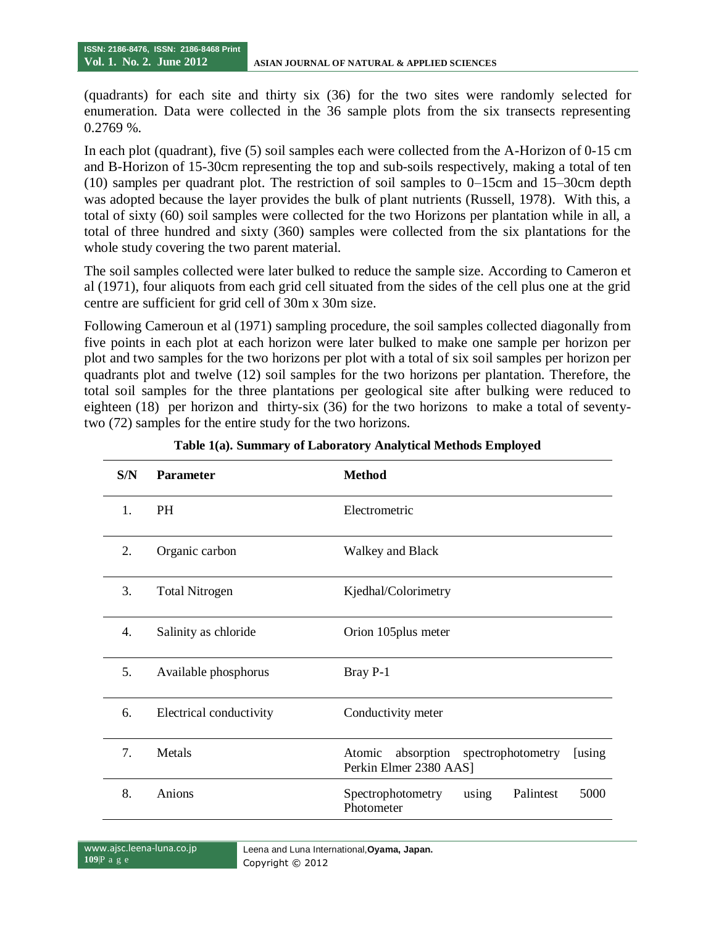(quadrants) for each site and thirty six (36) for the two sites were randomly selected for enumeration. Data were collected in the 36 sample plots from the six transects representing 0.2769 %.

In each plot (quadrant), five (5) soil samples each were collected from the A-Horizon of 0-15 cm and B-Horizon of 15-30cm representing the top and sub-soils respectively, making a total of ten (10) samples per quadrant plot. The restriction of soil samples to 0–15cm and 15–30cm depth was adopted because the layer provides the bulk of plant nutrients (Russell, 1978). With this, a total of sixty (60) soil samples were collected for the two Horizons per plantation while in all, a total of three hundred and sixty (360) samples were collected from the six plantations for the whole study covering the two parent material.

The soil samples collected were later bulked to reduce the sample size. According to Cameron et al (1971), four aliquots from each grid cell situated from the sides of the cell plus one at the grid centre are sufficient for grid cell of 30m x 30m size.

Following Cameroun et al (1971) sampling procedure, the soil samples collected diagonally from five points in each plot at each horizon were later bulked to make one sample per horizon per plot and two samples for the two horizons per plot with a total of six soil samples per horizon per quadrants plot and twelve (12) soil samples for the two horizons per plantation. Therefore, the total soil samples for the three plantations per geological site after bulking were reduced to eighteen (18) per horizon and thirty-six (36) for the two horizons to make a total of seventytwo (72) samples for the entire study for the two horizons.

| S/N | <b>Parameter</b>        | <b>Method</b>                                                               |
|-----|-------------------------|-----------------------------------------------------------------------------|
| 1.  | <b>PH</b>               | Electrometric                                                               |
| 2.  | Organic carbon          | <b>Walkey and Black</b>                                                     |
| 3.  | <b>Total Nitrogen</b>   | Kjedhal/Colorimetry                                                         |
| 4.  | Salinity as chloride    | Orion 105 plus meter                                                        |
| 5.  | Available phosphorus    | Bray P-1                                                                    |
| 6.  | Electrical conductivity | Conductivity meter                                                          |
| 7.  | Metals                  | absorption spectrophotometry<br>Atomic<br>[using]<br>Perkin Elmer 2380 AAS] |
| 8.  | Anions                  | using<br>Palintest<br>5000<br>Spectrophotometry<br>Photometer               |

| Table 1(a). Summary of Laboratory Analytical Methods Employed |  |  |  |
|---------------------------------------------------------------|--|--|--|
|                                                               |  |  |  |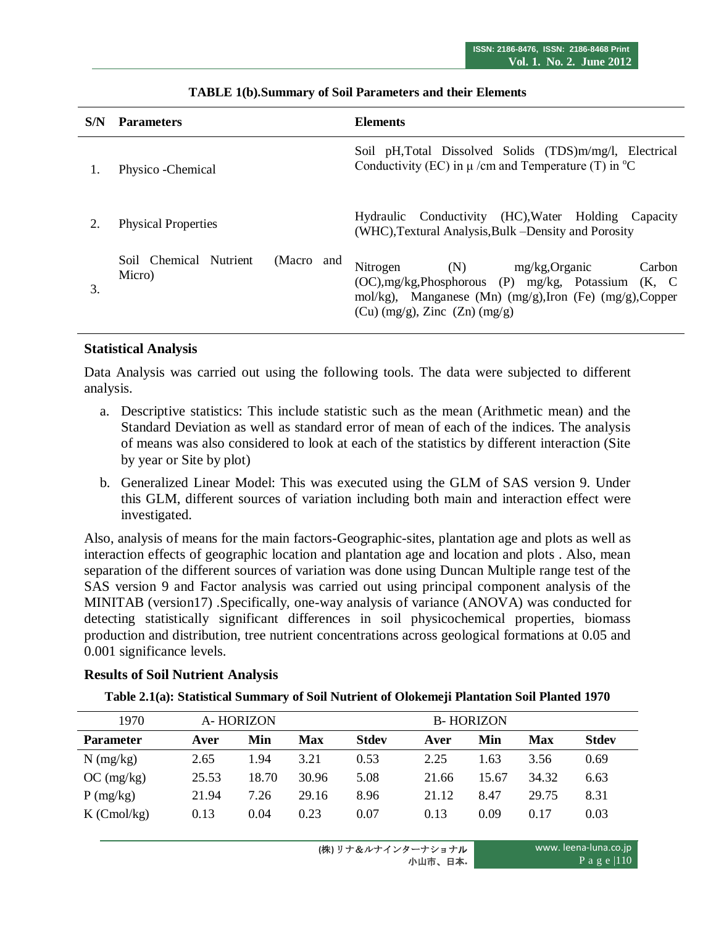| S/N | <b>Parameters</b>                              | <b>Elements</b>                                                                                                                                                                                     |
|-----|------------------------------------------------|-----------------------------------------------------------------------------------------------------------------------------------------------------------------------------------------------------|
|     | Physico - Chemical                             | Soil pH, Total Dissolved Solids (TDS)m/mg/l, Electrical<br>Conductivity (EC) in $\mu$ /cm and Temperature (T) in $^{\circ}$ C                                                                       |
|     | <b>Physical Properties</b>                     | Hydraulic Conductivity (HC), Water Holding Capacity<br>(WHC), Textural Analysis, Bulk – Density and Porosity                                                                                        |
| 3.  | Soil Chemical Nutrient<br>(Macro and<br>Micro) | Nitrogen<br>(N)<br>mg/kg,Organic<br>Carbon<br>(OC), mg/kg, Phosphorous (P) mg/kg, Potassium (K, C)<br>mol/kg), Manganese (Mn) (mg/g), Iron (Fe) (mg/g), Copper<br>$(Cu)$ (mg/g), Zinc $(Zn)$ (mg/g) |

#### **TABLE 1(b).Summary of Soil Parameters and their Elements**

#### **Statistical Analysis**

Data Analysis was carried out using the following tools. The data were subjected to different analysis.

- a. Descriptive statistics: This include statistic such as the mean (Arithmetic mean) and the Standard Deviation as well as standard error of mean of each of the indices. The analysis of means was also considered to look at each of the statistics by different interaction (Site by year or Site by plot)
- b. Generalized Linear Model: This was executed using the GLM of SAS version 9. Under this GLM, different sources of variation including both main and interaction effect were investigated.

Also, analysis of means for the main factors-Geographic-sites, plantation age and plots as well as interaction effects of geographic location and plantation age and location and plots . Also, mean separation of the different sources of variation was done using Duncan Multiple range test of the SAS version 9 and Factor analysis was carried out using principal component analysis of the MINITAB (version17) .Specifically, one-way analysis of variance (ANOVA) was conducted for detecting statistically significant differences in soil physicochemical properties, biomass production and distribution, tree nutrient concentrations across geological formations at 0.05 and 0.001 significance levels.

#### **Results of Soil Nutrient Analysis**

#### **Table 2.1(a): Statistical Summary of Soil Nutrient of Olokemeji Plantation Soil Planted 1970**

| 1970             | A-HORIZON |       |            |              | <b>B-HORIZON</b> |       |       |              |  |  |
|------------------|-----------|-------|------------|--------------|------------------|-------|-------|--------------|--|--|
| <b>Parameter</b> | Aver      | Min   | <b>Max</b> | <b>Stdev</b> | Aver             | Min   | Max   | <b>Stdev</b> |  |  |
| $N$ (mg/kg)      | 2.65      | 1.94  | 3.21       | 0.53         | 2.25             | 1.63  | 3.56  | 0.69         |  |  |
| OC (mg/kg)       | 25.53     | 18.70 | 30.96      | 5.08         | 21.66            | 15.67 | 34.32 | 6.63         |  |  |
| $P$ (mg/kg)      | 21.94     | 7.26  | 29.16      | 8.96         | 21.12            | 8.47  | 29.75 | 8.31         |  |  |
| $K$ (Cmol/kg)    | 0.13      | 0.04  | 0.23       | 0.07         | 0.13             | 0.09  | 0.17  | 0.03         |  |  |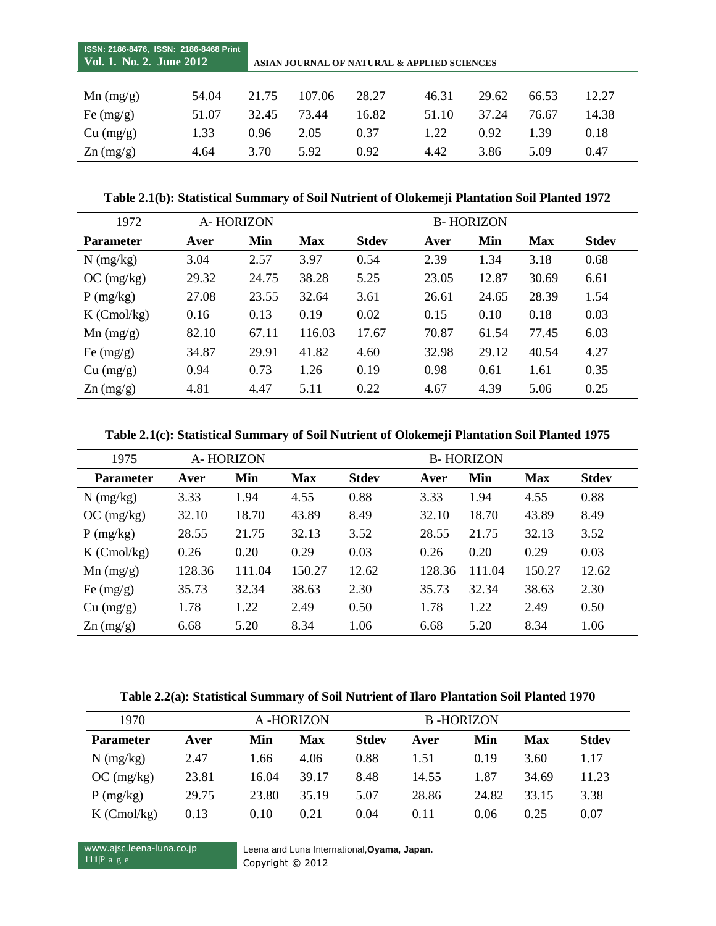| ISSN: 2186-8476, ISSN: 2186-8468 Print<br>Vol. 1. No. 2. June 2012 |       | ASIAN JOURNAL OF NATURAL & APPLIED SCIENCES |        |       |       |       |       |       |  |  |
|--------------------------------------------------------------------|-------|---------------------------------------------|--------|-------|-------|-------|-------|-------|--|--|
|                                                                    | 54.04 | 21.75                                       | 107.06 | 28.27 | 46.31 | 29.62 | 66.53 | 12.27 |  |  |
| $Mn$ (mg/g)                                                        |       |                                             |        |       |       |       |       |       |  |  |
| Fe $(mg/g)$                                                        | 51.07 | 32.45                                       | 73.44  | 16.82 | 51.10 | 37.24 | 76.67 | 14.38 |  |  |
| Cu (mg/g)                                                          | 1.33  | 0.96                                        | 2.05   | 0.37  | 1.22  | 0.92  | 1.39  | 0.18  |  |  |
| $\text{Zn}$ (mg/g)                                                 | 4.64  | 3.70                                        | 5.92   | 0.92  | 4.42  | 3.86  | 5.09  | 0.47  |  |  |

**Table 2.1(b): Statistical Summary of Soil Nutrient of Olokemeji Plantation Soil Planted 1972**

| 1972               | A-HORIZON |       |            | <b>B-HORIZON</b> |       |       |            |              |  |
|--------------------|-----------|-------|------------|------------------|-------|-------|------------|--------------|--|
| <b>Parameter</b>   | Aver      | Min   | <b>Max</b> | <b>Stdev</b>     | Aver  | Min   | <b>Max</b> | <b>Stdev</b> |  |
| $N$ (mg/kg)        | 3.04      | 2.57  | 3.97       | 0.54             | 2.39  | 1.34  | 3.18       | 0.68         |  |
| OC (mg/kg)         | 29.32     | 24.75 | 38.28      | 5.25             | 23.05 | 12.87 | 30.69      | 6.61         |  |
| $P$ (mg/kg)        | 27.08     | 23.55 | 32.64      | 3.61             | 26.61 | 24.65 | 28.39      | 1.54         |  |
| $K$ (Cmol/kg)      | 0.16      | 0.13  | 0.19       | 0.02             | 0.15  | 0.10  | 0.18       | 0.03         |  |
| $Mn$ (mg/g)        | 82.10     | 67.11 | 116.03     | 17.67            | 70.87 | 61.54 | 77.45      | 6.03         |  |
| Fe $(mg/g)$        | 34.87     | 29.91 | 41.82      | 4.60             | 32.98 | 29.12 | 40.54      | 4.27         |  |
| Cu (mg/g)          | 0.94      | 0.73  | 1.26       | 0.19             | 0.98  | 0.61  | 1.61       | 0.35         |  |
| $\text{Zn}$ (mg/g) | 4.81      | 4.47  | 5.11       | 0.22             | 4.67  | 4.39  | 5.06       | 0.25         |  |

**Table 2.1(c): Statistical Summary of Soil Nutrient of Olokemeji Plantation Soil Planted 1975**

| 1975               | A-HORIZON |        |            | <b>B-HORIZON</b> |        |        |            |              |  |
|--------------------|-----------|--------|------------|------------------|--------|--------|------------|--------------|--|
| <b>Parameter</b>   | Aver      | Min    | <b>Max</b> | <b>Stdev</b>     | Aver   | Min    | <b>Max</b> | <b>Stdev</b> |  |
| $N$ (mg/kg)        | 3.33      | 1.94   | 4.55       | 0.88             | 3.33   | 1.94   | 4.55       | 0.88         |  |
| OC (mg/kg)         | 32.10     | 18.70  | 43.89      | 8.49             | 32.10  | 18.70  | 43.89      | 8.49         |  |
| $P$ (mg/kg)        | 28.55     | 21.75  | 32.13      | 3.52             | 28.55  | 21.75  | 32.13      | 3.52         |  |
| $K$ (Cmol/kg)      | 0.26      | 0.20   | 0.29       | 0.03             | 0.26   | 0.20   | 0.29       | 0.03         |  |
| $Mn$ (mg/g)        | 128.36    | 111.04 | 150.27     | 12.62            | 128.36 | 111.04 | 150.27     | 12.62        |  |
| Fe $(mg/g)$        | 35.73     | 32.34  | 38.63      | 2.30             | 35.73  | 32.34  | 38.63      | 2.30         |  |
| Cu (mg/g)          | 1.78      | 1.22   | 2.49       | 0.50             | 1.78   | 1.22   | 2.49       | 0.50         |  |
| $\text{Zn}$ (mg/g) | 6.68      | 5.20   | 8.34       | 1.06             | 6.68   | 5.20   | 8.34       | 1.06         |  |

**Table 2.2(a): Statistical Summary of Soil Nutrient of Ilaro Plantation Soil Planted 1970**

| 1970             |       |       | A -HORIZON |              | <b>B-HORIZON</b> |       |       |              |
|------------------|-------|-------|------------|--------------|------------------|-------|-------|--------------|
| <b>Parameter</b> | Aver  | Min   | Max        | <b>Stdev</b> | Aver             | Min   | Max   | <b>Stdev</b> |
| $N$ (mg/kg)      | 2.47  | 1.66  | 4.06       | 0.88         | 1.51             | 0.19  | 3.60  | 1.17         |
| OC (mg/kg)       | 23.81 | 16.04 | 39.17      | 8.48         | 14.55            | 1.87  | 34.69 | 11.23        |
| P(mg/kg)         | 29.75 | 23.80 | 35.19      | 5.07         | 28.86            | 24.82 | 33.15 | 3.38         |
| $K$ (Cmol/kg)    | 0.13  | 0.10  | 0.21       | 0.04         | 0.11             | 0.06  | 0.25  | 0.07         |

www.ajsc.leena-luna.co.jp **111**|P a g e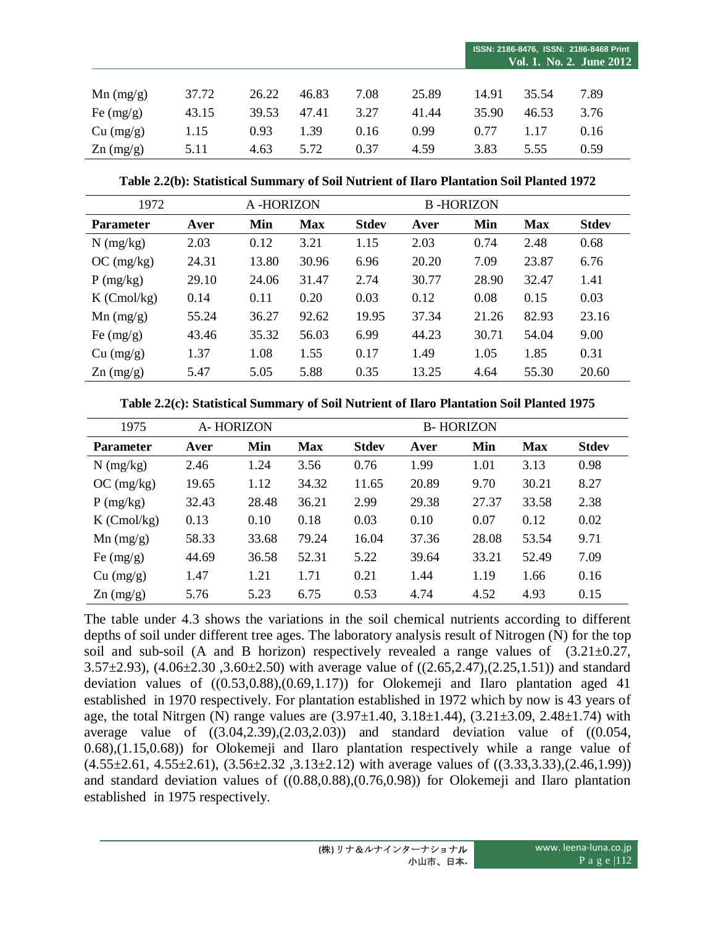|                    |       |       |       |      |       | ISSN: 2186-8476, ISSN: 2186-8468 Print<br>Vol. 1. No. 2. June 2012 |       |      |  |
|--------------------|-------|-------|-------|------|-------|--------------------------------------------------------------------|-------|------|--|
| $Mn$ (mg/g)        | 37.72 | 26.22 | 46.83 | 7.08 | 25.89 | 14.91                                                              | 35.54 | 7.89 |  |
| Fe $(mg/g)$        | 43.15 | 39.53 | 47.41 | 3.27 | 41.44 | 35.90                                                              | 46.53 | 3.76 |  |
| Cu (mg/g)          | 1.15  | 0.93  | 1.39  | 0.16 | 0.99  | 0.77                                                               | 1.17  | 0.16 |  |
| $\text{Zn}$ (mg/g) | 5.11  | 4.63  | 5.72  | 0.37 | 4.59  | 3.83                                                               | 5.55  | 0.59 |  |

**Table 2.2(b): Statistical Summary of Soil Nutrient of Ilaro Plantation Soil Planted 1972**

| 1972               |       | A-HORIZON |            |              |       | <b>B-HORIZON</b> |            |              |
|--------------------|-------|-----------|------------|--------------|-------|------------------|------------|--------------|
| <b>Parameter</b>   | Aver  | Min       | <b>Max</b> | <b>Stdev</b> | Aver  | Min              | <b>Max</b> | <b>Stdev</b> |
| $N$ (mg/kg)        | 2.03  | 0.12      | 3.21       | 1.15         | 2.03  | 0.74             | 2.48       | 0.68         |
| OC (mg/kg)         | 24.31 | 13.80     | 30.96      | 6.96         | 20.20 | 7.09             | 23.87      | 6.76         |
| P(mg/kg)           | 29.10 | 24.06     | 31.47      | 2.74         | 30.77 | 28.90            | 32.47      | 1.41         |
| $K$ (Cmol/kg)      | 0.14  | 0.11      | 0.20       | 0.03         | 0.12  | 0.08             | 0.15       | 0.03         |
| $Mn$ (mg/g)        | 55.24 | 36.27     | 92.62      | 19.95        | 37.34 | 21.26            | 82.93      | 23.16        |
| Fe $(mg/g)$        | 43.46 | 35.32     | 56.03      | 6.99         | 44.23 | 30.71            | 54.04      | 9.00         |
| Cu (mg/g)          | 1.37  | 1.08      | 1.55       | 0.17         | 1.49  | 1.05             | 1.85       | 0.31         |
| $\text{Zn}$ (mg/g) | 5.47  | 5.05      | 5.88       | 0.35         | 13.25 | 4.64             | 55.30      | 20.60        |

|  | Table 2.2(c): Statistical Summary of Soil Nutrient of Ilaro Plantation Soil Planted 1975 |  |  |
|--|------------------------------------------------------------------------------------------|--|--|
|  |                                                                                          |  |  |

| 1975               |       | A-HORIZON | <b>B-HORIZON</b> |              |       |       |            |              |
|--------------------|-------|-----------|------------------|--------------|-------|-------|------------|--------------|
| <b>Parameter</b>   | Aver  | Min       | <b>Max</b>       | <b>Stdev</b> | Aver  | Min   | <b>Max</b> | <b>Stdev</b> |
| $N$ (mg/kg)        | 2.46  | 1.24      | 3.56             | 0.76         | 1.99  | 1.01  | 3.13       | 0.98         |
| OC (mg/kg)         | 19.65 | 1.12      | 34.32            | 11.65        | 20.89 | 9.70  | 30.21      | 8.27         |
| $P$ (mg/kg)        | 32.43 | 28.48     | 36.21            | 2.99         | 29.38 | 27.37 | 33.58      | 2.38         |
| $K$ (Cmol/kg)      | 0.13  | 0.10      | 0.18             | 0.03         | 0.10  | 0.07  | 0.12       | 0.02         |
| $Mn$ (mg/g)        | 58.33 | 33.68     | 79.24            | 16.04        | 37.36 | 28.08 | 53.54      | 9.71         |
| Fe $(mg/g)$        | 44.69 | 36.58     | 52.31            | 5.22         | 39.64 | 33.21 | 52.49      | 7.09         |
| Cu (mg/g)          | 1.47  | 1.21      | 1.71             | 0.21         | 1.44  | 1.19  | 1.66       | 0.16         |
| $\text{Zn}$ (mg/g) | 5.76  | 5.23      | 6.75             | 0.53         | 4.74  | 4.52  | 4.93       | 0.15         |

The table under 4.3 shows the variations in the soil chemical nutrients according to different depths of soil under different tree ages. The laboratory analysis result of Nitrogen (N) for the top soil and sub-soil (A and B horizon) respectively revealed a range values of  $(3.21 \pm 0.27,$ 3.57±2.93), (4.06±2.30 ,3.60±2.50) with average value of ((2.65,2.47),(2.25,1.51)) and standard deviation values of ((0.53,0.88),(0.69,1.17)) for Olokemeji and Ilaro plantation aged 41 established in 1970 respectively. For plantation established in 1972 which by now is 43 years of age, the total Nitrgen (N) range values are  $(3.97\pm1.40, 3.18\pm1.44)$ ,  $(3.21\pm3.09, 2.48\pm1.74)$  with average value of  $((3.04, 2.39), (2.03, 2.03))$  and standard deviation value of  $((0.054,$ 0.68),(1.15,0.68)) for Olokemeji and Ilaro plantation respectively while a range value of  $(4.55\pm2.61, 4.55\pm2.61), (3.56\pm2.32, 3.13\pm2.12)$  with average values of  $((3.33,3.33),(2.46,1.99))$ and standard deviation values of ((0.88,0.88),(0.76,0.98)) for Olokemeji and Ilaro plantation established in 1975 respectively.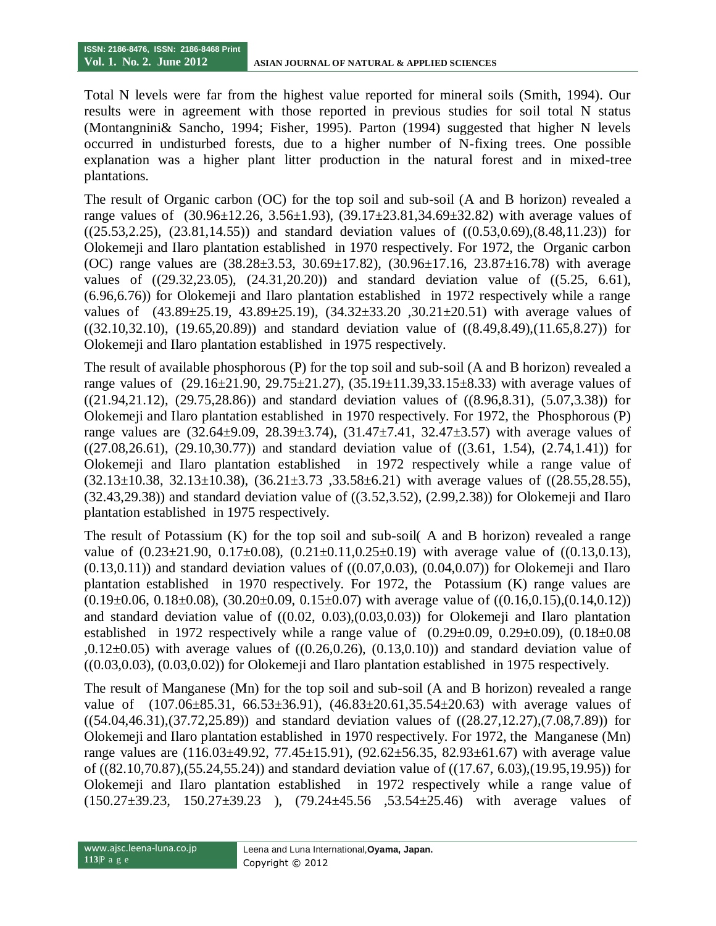Total N levels were far from the highest value reported for mineral soils (Smith, 1994). Our results were in agreement with those reported in previous studies for soil total N status (Montangnini& Sancho, 1994; Fisher, 1995). Parton (1994) suggested that higher N levels occurred in undisturbed forests, due to a higher number of N-fixing trees. One possible explanation was a higher plant litter production in the natural forest and in mixed-tree plantations.

The result of Organic carbon (OC) for the top soil and sub-soil (A and B horizon) revealed a range values of  $(30.96\pm12.26, 3.56\pm1.93)$ ,  $(39.17\pm23.81,34.69\pm32.82)$  with average values of  $((25.53, 2.25), (23.81, 14.55))$  and standard deviation values of  $((0.53, 0.69), (8.48, 11.23))$  for Olokemeji and Ilaro plantation established in 1970 respectively. For 1972, the Organic carbon (OC) range values are (38.28±3.53, 30.69±17.82), (30.96±17.16, 23.87±16.78) with average values of ((29.32,23.05), (24.31,20.20)) and standard deviation value of ((5.25, 6.61), (6.96,6.76)) for Olokemeji and Ilaro plantation established in 1972 respectively while a range values of (43.89±25.19, 43.89±25.19), (34.32±33.20 ,30.21±20.51) with average values of  $((32.10,32.10), (19.65,20.89))$  and standard deviation value of  $((8.49,8.49),(11.65,8.27))$  for Olokemeji and Ilaro plantation established in 1975 respectively.

The result of available phosphorous (P) for the top soil and sub-soil (A and B horizon) revealed a range values of (29.16±21.90, 29.75±21.27), (35.19±11.39,33.15±8.33) with average values of  $((21.94,21.12), (29.75,28.86))$  and standard deviation values of  $((8.96,8.31), (5.07,3.38))$  for Olokemeji and Ilaro plantation established in 1970 respectively. For 1972, the Phosphorous (P) range values are  $(32.64\pm9.09, 28.39\pm3.74), (31.47\pm7.41, 32.47\pm3.57)$  with average values of  $((27.08,26.61), (29.10,30.77))$  and standard deviation value of  $((3.61, 1.54), (2.74,1.41))$  for Olokemeji and Ilaro plantation established in 1972 respectively while a range value of  $(32.13 \pm 10.38, 32.13 \pm 10.38), (36.21 \pm 3.73, 33.58 \pm 6.21)$  with average values of  $((28.55, 28.55),$ (32.43,29.38)) and standard deviation value of ((3.52,3.52), (2.99,2.38)) for Olokemeji and Ilaro plantation established in 1975 respectively.

The result of Potassium (K) for the top soil and sub-soil( A and B horizon) revealed a range value of  $(0.23\pm21.90, 0.17\pm0.08), (0.21\pm0.11, 0.25\pm0.19)$  with average value of  $((0.13,0.13),$  $(0.13,0.11)$  and standard deviation values of  $((0.07,0.03), (0.04,0.07))$  for Olokemeji and Ilaro plantation established in 1970 respectively. For 1972, the Potassium (K) range values are  $(0.19\pm0.06, 0.18\pm0.08), (30.20\pm0.09, 0.15\pm0.07)$  with average value of  $((0.16, 0.15), (0.14, 0.12))$ and standard deviation value of  $((0.02, 0.03), (0.03, 0.03))$  for Olokemeji and Ilaro plantation established in 1972 respectively while a range value of  $(0.29 \pm 0.09, 0.29 \pm 0.09)$ ,  $(0.18 \pm 0.08)$  $(0.12\pm0.05)$  with average values of  $((0.26, 0.26), (0.13, 0.10))$  and standard deviation value of  $((0.03,0.03), (0.03,0.02))$  for Olokemeji and Ilaro plantation established in 1975 respectively.

The result of Manganese (Mn) for the top soil and sub-soil (A and B horizon) revealed a range value of  $(107.06\pm85.31, 66.53\pm36.91), (46.83\pm20.61,35.54\pm20.63)$  with average values of ((54.04,46.31),(37.72,25.89)) and standard deviation values of ((28.27,12.27),(7.08,7.89)) for Olokemeji and Ilaro plantation established in 1970 respectively. For 1972, the Manganese (Mn) range values are  $(116.03\pm49.92, 77.45\pm15.91), (92.62\pm56.35, 82.93\pm61.67)$  with average value of ((82.10,70.87),(55.24,55.24)) and standard deviation value of ((17.67, 6.03),(19.95,19.95)) for Olokemeji and Ilaro plantation established in 1972 respectively while a range value of (150.27±39.23, 150.27±39.23 ), (79.24±45.56 ,53.54±25.46) with average values of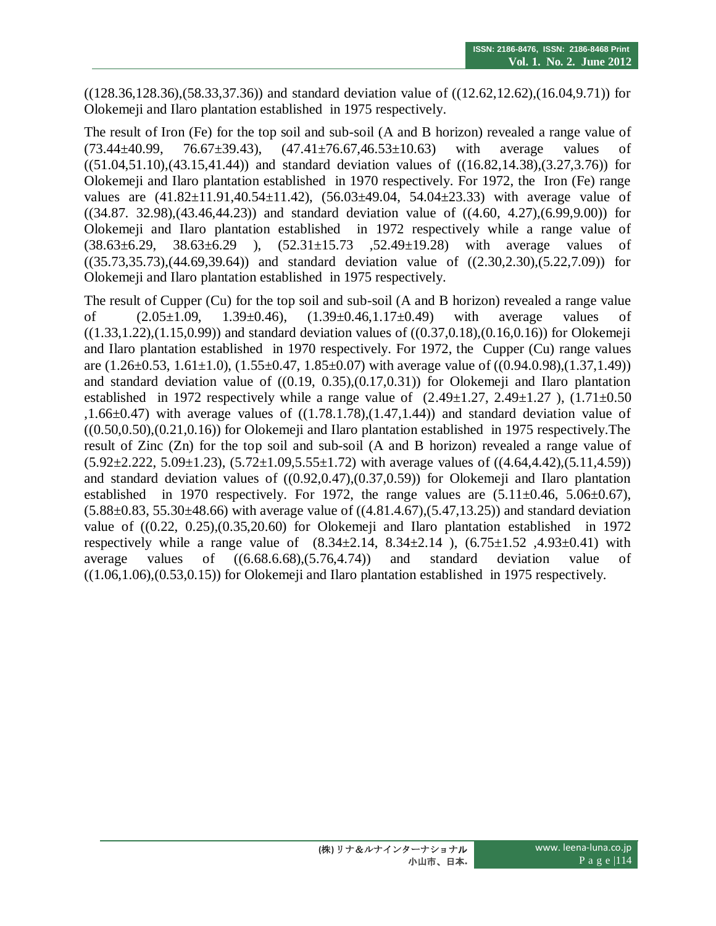((128.36,128.36),(58.33,37.36)) and standard deviation value of ((12.62,12.62),(16.04,9.71)) for Olokemeji and Ilaro plantation established in 1975 respectively.

The result of Iron (Fe) for the top soil and sub-soil (A and B horizon) revealed a range value of  $(73.44\pm40.99, 76.67\pm39.43), (47.41\pm76.67,46.53\pm10.63)$  with average values of ((51.04,51.10),(43.15,41.44)) and standard deviation values of ((16.82,14.38),(3.27,3.76)) for Olokemeji and Ilaro plantation established in 1970 respectively. For 1972, the Iron (Fe) range values are  $(41.82 \pm 11.91, 40.54 \pm 11.42)$ ,  $(56.03 \pm 49.04, 54.04 \pm 23.33)$  with average value of ((34.87. 32.98),(43.46,44.23)) and standard deviation value of ((4.60, 4.27),(6.99,9.00)) for Olokemeji and Ilaro plantation established in 1972 respectively while a range value of (38.63±6.29, 38.63±6.29 ), (52.31±15.73 ,52.49±19.28) with average values of ((35.73,35.73),(44.69,39.64)) and standard deviation value of ((2.30,2.30),(5.22,7.09)) for Olokemeji and Ilaro plantation established in 1975 respectively.

The result of Cupper (Cu) for the top soil and sub-soil (A and B horizon) revealed a range value of  $(2.05\pm1.09, 1.39\pm0.46), (1.39\pm0.46, 1.17\pm0.49)$  with average values of  $((1.33,1.22),(1.15,0.99))$  and standard deviation values of  $((0.37,0.18),(0.16,0.16))$  for Olokemeji and Ilaro plantation established in 1970 respectively. For 1972, the Cupper (Cu) range values are  $(1.26\pm 0.53, 1.61\pm 1.0), (1.55\pm 0.47, 1.85\pm 0.07)$  with average value of  $((0.94.0.98), (1.37, 1.49))$ and standard deviation value of  $((0.19, 0.35), (0.17, 0.31))$  for Olokemeji and Ilaro plantation established in 1972 respectively while a range value of  $(2.49\pm1.27, 2.49\pm1.27)$ ,  $(1.71\pm0.50)$ ,1.66 $\pm$ 0.47) with average values of ((1.78.1.78),(1.47,1.44)) and standard deviation value of ((0.50,0.50),(0.21,0.16)) for Olokemeji and Ilaro plantation established in 1975 respectively.The result of Zinc (Zn) for the top soil and sub-soil (A and B horizon) revealed a range value of  $(5.92 \pm 2.222, 5.09 \pm 1.23), (5.72 \pm 1.09, 5.55 \pm 1.72)$  with average values of  $((4.64, 4.42), (5.11, 4.59))$ and standard deviation values of  $((0.92, 0.47), (0.37, 0.59))$  for Olokemeji and Ilaro plantation established in 1970 respectively. For 1972, the range values are  $(5.11\pm0.46, 5.06\pm0.67)$ ,  $(5.88\pm0.83, 55.30\pm48.66)$  with average value of  $((4.81.4.67),(5.47,13.25))$  and standard deviation value of ((0.22, 0.25),(0.35,20.60) for Olokemeji and Ilaro plantation established in 1972 respectively while a range value of  $(8.34 \pm 2.14, 8.34 \pm 2.14)$ ,  $(6.75 \pm 1.52, 4.93 \pm 0.41)$  with average values of ((6.68.6.68),(5.76,4.74)) and standard deviation value of  $((1.06, 1.06), (0.53, 0.15))$  for Olokemeji and Ilaro plantation established in 1975 respectively.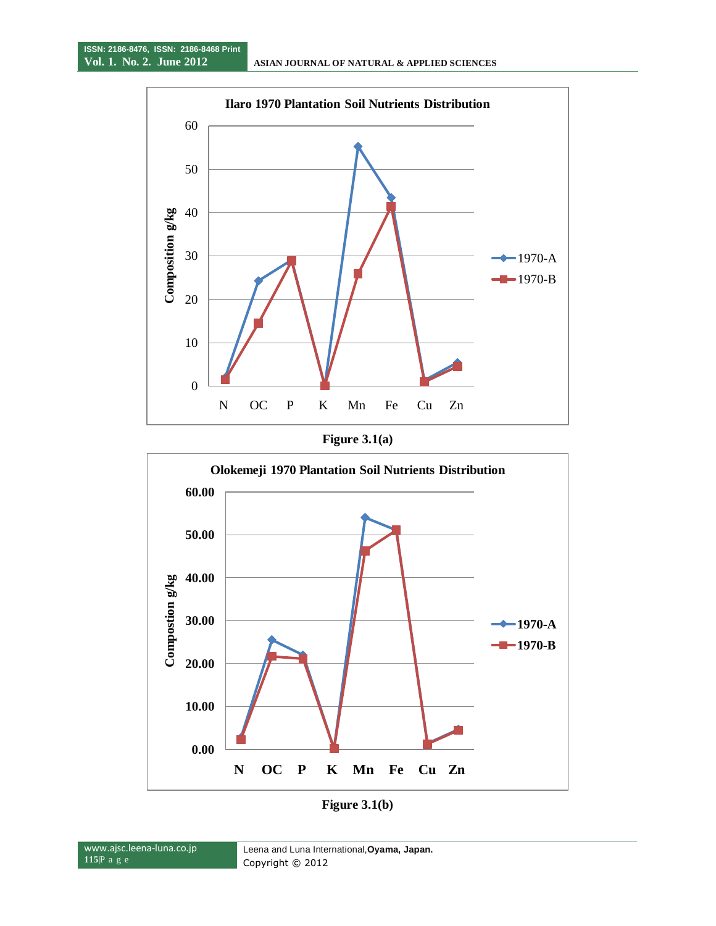





**Figure 3.1(b)**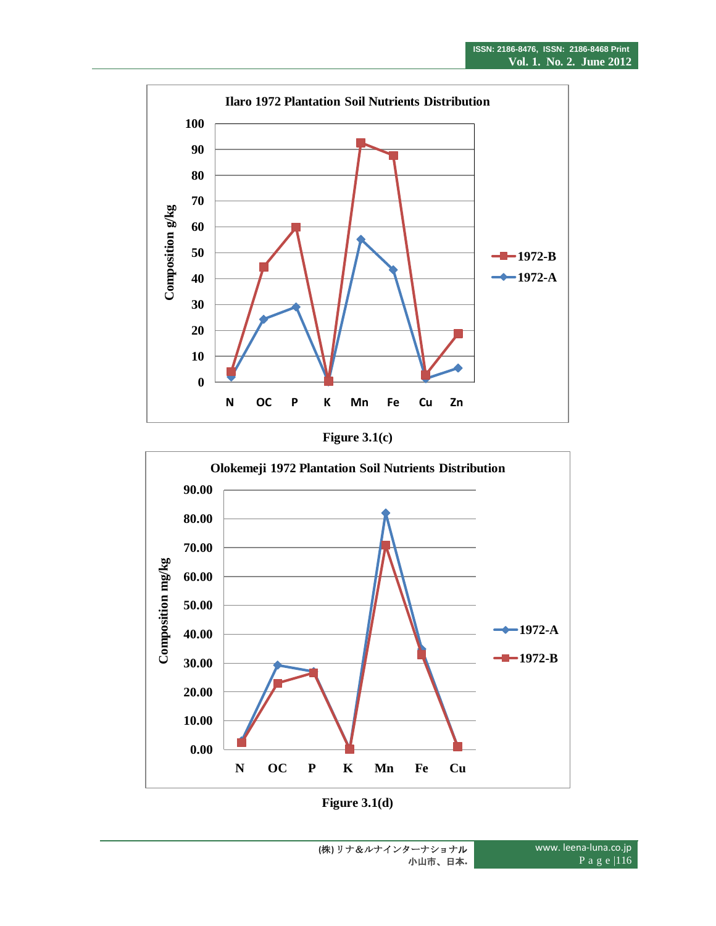





**Figure 3.1(d)**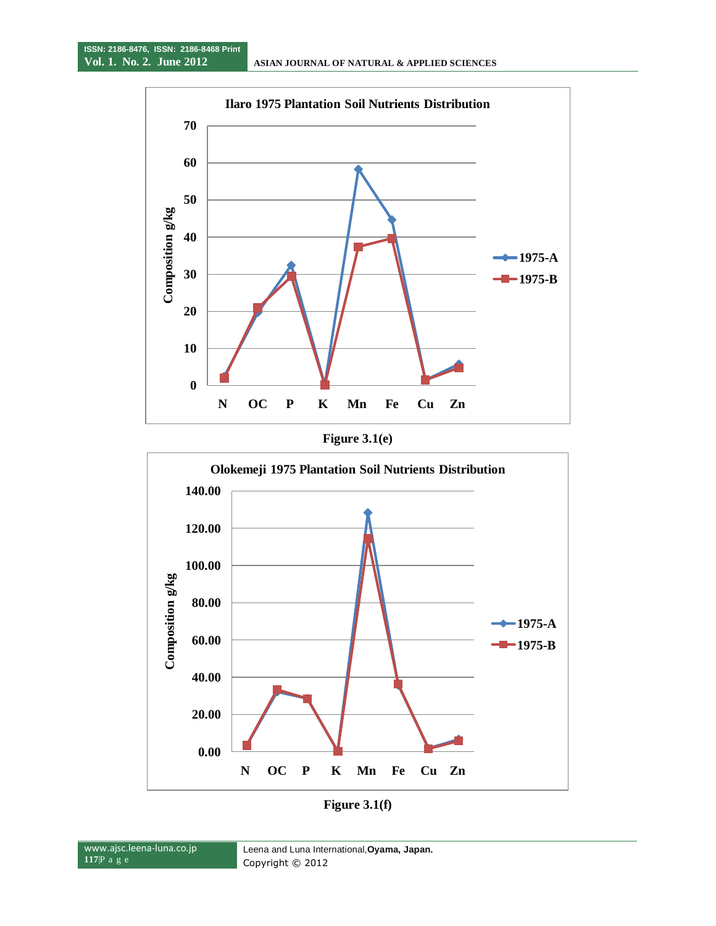





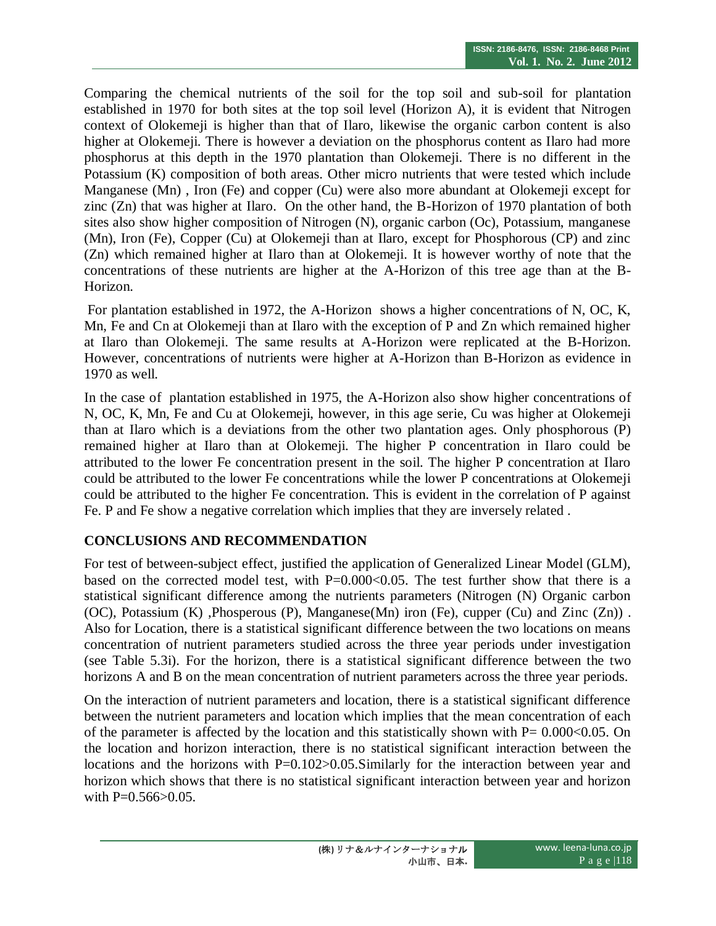Comparing the chemical nutrients of the soil for the top soil and sub-soil for plantation established in 1970 for both sites at the top soil level (Horizon A), it is evident that Nitrogen context of Olokemeji is higher than that of Ilaro, likewise the organic carbon content is also higher at Olokemeji. There is however a deviation on the phosphorus content as Ilaro had more phosphorus at this depth in the 1970 plantation than Olokemeji. There is no different in the Potassium (K) composition of both areas. Other micro nutrients that were tested which include Manganese (Mn) , Iron (Fe) and copper (Cu) were also more abundant at Olokemeji except for zinc (Zn) that was higher at Ilaro. On the other hand, the B-Horizon of 1970 plantation of both sites also show higher composition of Nitrogen (N), organic carbon (Oc), Potassium, manganese (Mn), Iron (Fe), Copper (Cu) at Olokemeji than at Ilaro, except for Phosphorous (CP) and zinc (Zn) which remained higher at Ilaro than at Olokemeji. It is however worthy of note that the concentrations of these nutrients are higher at the A-Horizon of this tree age than at the B-Horizon.

For plantation established in 1972, the A-Horizon shows a higher concentrations of N, OC, K, Mn, Fe and Cn at Olokemeji than at Ilaro with the exception of P and Zn which remained higher at Ilaro than Olokemeji. The same results at A-Horizon were replicated at the B-Horizon. However, concentrations of nutrients were higher at A-Horizon than B-Horizon as evidence in 1970 as well.

In the case of plantation established in 1975, the A-Horizon also show higher concentrations of N, OC, K, Mn, Fe and Cu at Olokemeji, however, in this age serie, Cu was higher at Olokemeji than at Ilaro which is a deviations from the other two plantation ages. Only phosphorous (P) remained higher at Ilaro than at Olokemeji. The higher P concentration in Ilaro could be attributed to the lower Fe concentration present in the soil. The higher P concentration at Ilaro could be attributed to the lower Fe concentrations while the lower P concentrations at Olokemeji could be attributed to the higher Fe concentration. This is evident in the correlation of P against Fe. P and Fe show a negative correlation which implies that they are inversely related .

# **CONCLUSIONS AND RECOMMENDATION**

For test of between-subject effect, justified the application of Generalized Linear Model (GLM), based on the corrected model test, with  $P=0.000<0.05$ . The test further show that there is a statistical significant difference among the nutrients parameters (Nitrogen (N) Organic carbon (OC), Potassium (K) ,Phosperous (P), Manganese(Mn) iron (Fe), cupper (Cu) and Zinc (Zn)) . Also for Location, there is a statistical significant difference between the two locations on means concentration of nutrient parameters studied across the three year periods under investigation (see Table 5.3i). For the horizon, there is a statistical significant difference between the two horizons A and B on the mean concentration of nutrient parameters across the three year periods.

On the interaction of nutrient parameters and location, there is a statistical significant difference between the nutrient parameters and location which implies that the mean concentration of each of the parameter is affected by the location and this statistically shown with  $P= 0.000<0.05$ . On the location and horizon interaction, there is no statistical significant interaction between the locations and the horizons with P=0.102>0.05.Similarly for the interaction between year and horizon which shows that there is no statistical significant interaction between year and horizon with  $P=0.566>0.05$ .